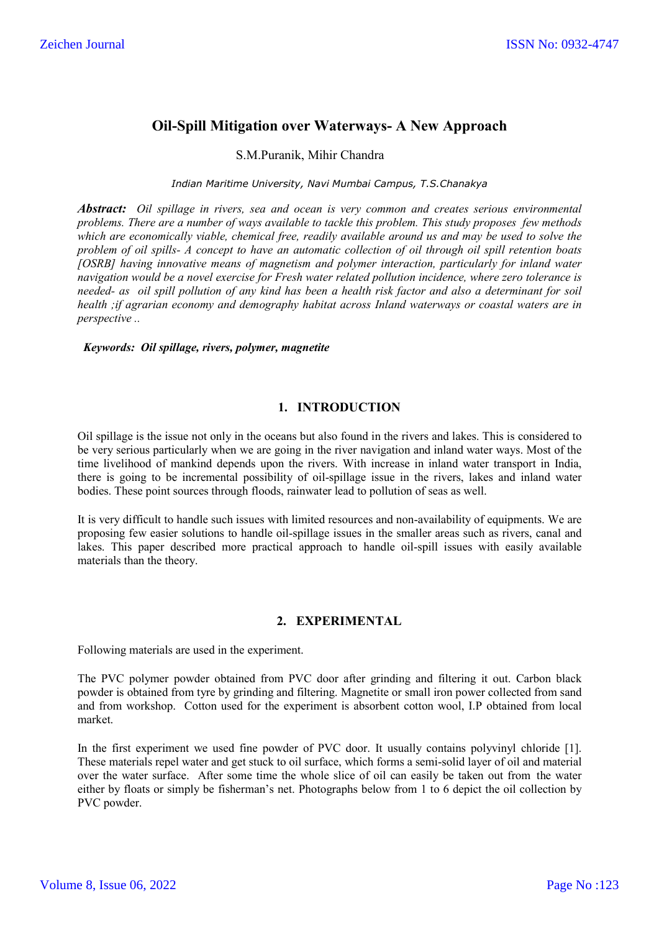# **Oil-Spill Mitigation over Waterways- A New Approach**

S.M.Puranik, Mihir Chandra

*Indian Maritime University, Navi Mumbai Campus, T.S.Chanakya*

*Abstract: Oil spillage in rivers, sea and ocean is very common and creates serious environmental problems. There are a number of ways available to tackle this problem. This study proposes few methods which are economically viable, chemical free, readily available around us and may be used to solve the problem of oil spills- A concept to have an automatic collection of oil through oil spill retention boats [OSRB] having innovative means of magnetism and polymer interaction, particularly for inland water navigation would be a novel exercise for Fresh water related pollution incidence, where zero tolerance is needed- as oil spill pollution of any kind has been a health risk factor and also a determinant for soil health ;if agrarian economy and demography habitat across Inland waterways or coastal waters are in perspective ..*

#### *Keywords: Oil spillage, rivers, polymer, magnetite*

## **1. INTRODUCTION**

Oil spillage is the issue not only in the oceans but also found in the rivers and lakes. This is considered to be very serious particularly when we are going in the river navigation and inland water ways. Most of the time livelihood of mankind depends upon the rivers. With increase in inland water transport in India, there is going to be incremental possibility of oil-spillage issue in the rivers, lakes and inland water bodies. These point sources through floods, rainwater lead to pollution of seas as well.

It is very difficult to handle such issues with limited resources and non-availability of equipments. We are proposing few easier solutions to handle oil-spillage issues in the smaller areas such as rivers, canal and lakes. This paper described more practical approach to handle oil-spill issues with easily available materials than the theory.

#### **2. EXPERIMENTAL**

Following materials are used in the experiment.

The PVC polymer powder obtained from PVC door after grinding and filtering it out. Carbon black powder is obtained from tyre by grinding and filtering. Magnetite or small iron power collected from sand and from workshop. Cotton used for the experiment is absorbent cotton wool, I.P obtained from local market.

In the first experiment we used fine powder of PVC door. It usually contains polyvinyl chloride [1]. These materials repel water and get stuck to oil surface, which forms a semi-solid layer of oil and material over the water surface. After some time the whole slice of oil can easily be taken out from the water either by floats or simply be fisherman's net. Photographs below from 1 to 6 depict the oil collection by PVC powder.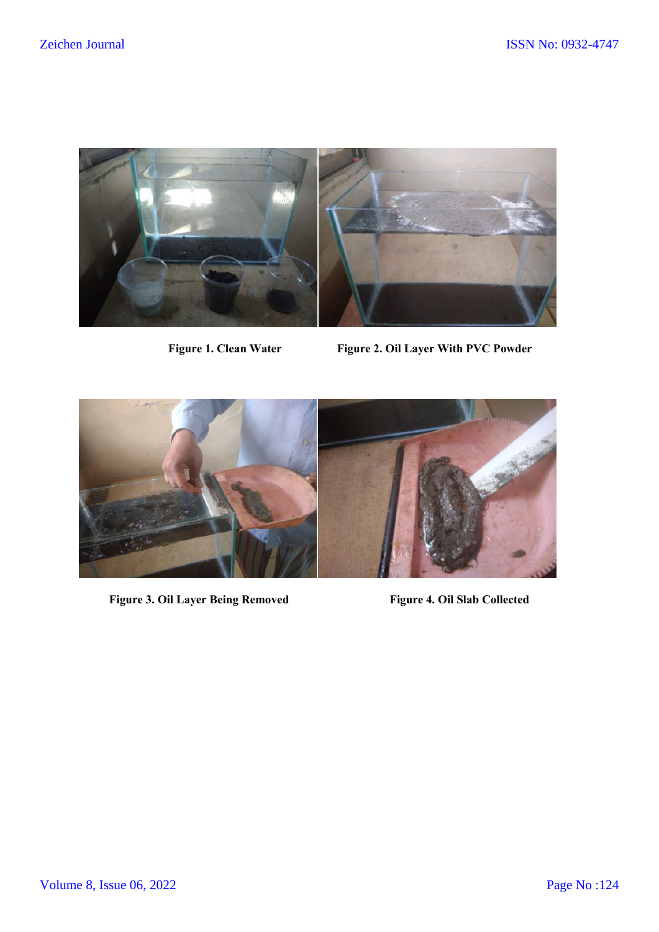

Figure 1. Clean Water Figure 2. Oil Layer With PVC Powder



Figure 3. Oil Layer Being Removed Figure 4. Oil Slab Collected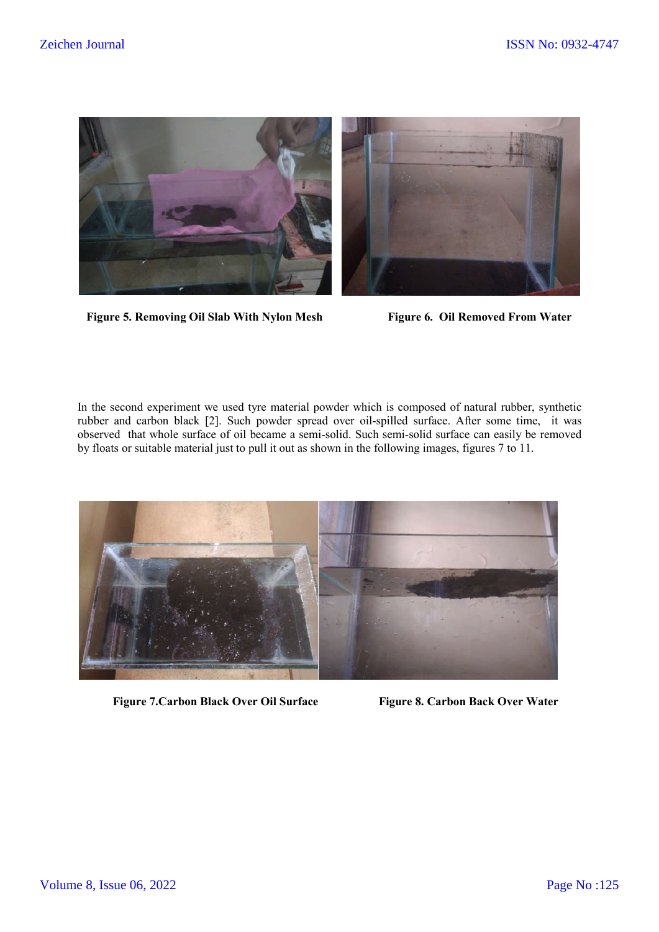

Figure 5. Removing Oil Slab With Nylon Mesh Figure 6. Oil Removed From Water

In the second experiment we used tyre material powder which is composed of natural rubber, synthetic rubber and carbon black [2]. Such powder spread over oil-spilled surface. After some time, it was observed that whole surface of oil became a semi-solid. Such semi-solid surface can easily be removed by floats or suitable material just to pull it out as shown in the following images, figures 7 to 11.



 **Figure 7. Carbon Black Over Oil Surface Figure 8. Carbon Back Over Water**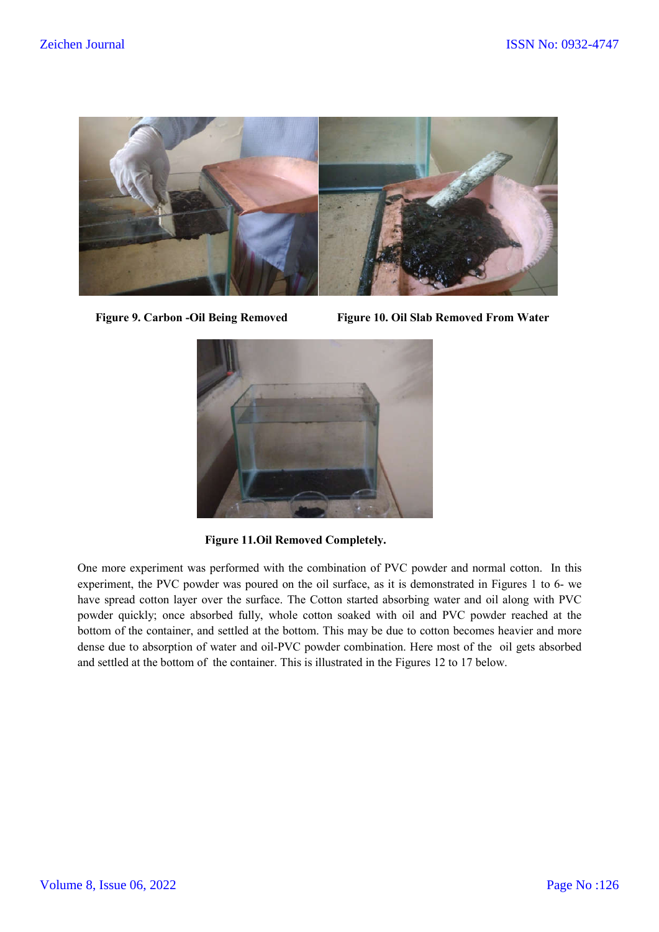

 **Figure 9. Carbon -Oil Being Removed Figure 10. Oil Slab Removed From Water**



 **Figure 11.Oil Removed Completely.**

One more experiment was performed with the combination of PVC powder and normal cotton. In this experiment, the PVC powder was poured on the oil surface, as it is demonstrated in Figures 1 to 6- we have spread cotton layer over the surface. The Cotton started absorbing water and oil along with PVC powder quickly; once absorbed fully, whole cotton soaked with oil and PVC powder reached at the bottom of the container, and settled at the bottom. This may be due to cotton becomes heavier and more dense due to absorption of water and oil-PVC powder combination. Here most of the oil gets absorbed and settled at the bottom of the container. This is illustrated in the Figures 12 to 17 below.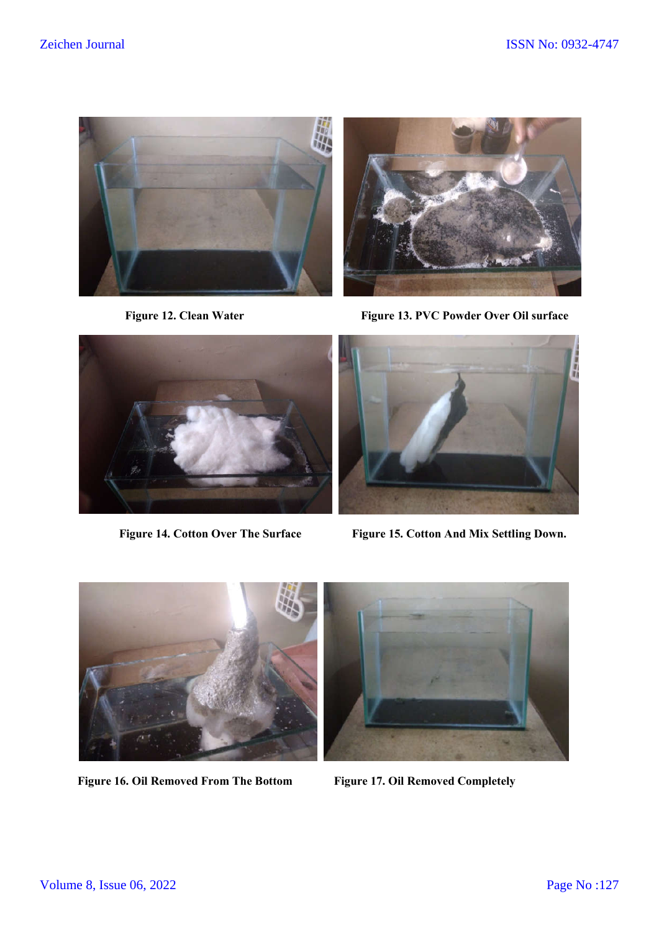



Figure 12. Clean Water Figure 13. PVC Powder Over Oil surface





 **Figure 14. Cotton Over The Surface Figure 15. Cotton And Mix Settling Down.**



Figure 16. Oil Removed From The Bottom Figure 17. Oil Removed Completely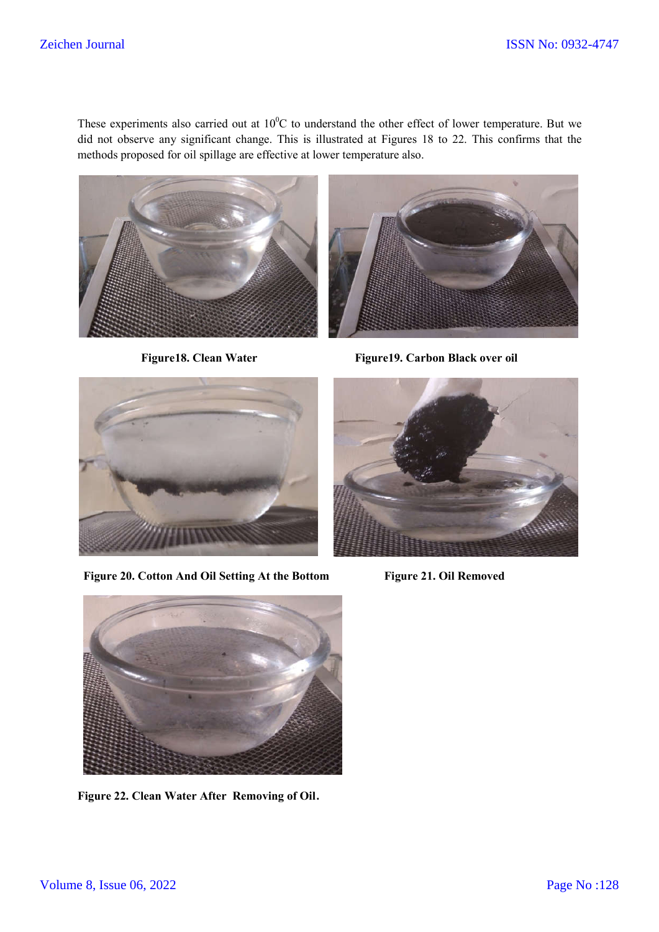These experiments also carried out at  $10^{0}$ C to understand the other effect of lower temperature. But we did not observe any significant change. This is illustrated at Figures 18 to 22. This confirms that the methods proposed for oil spillage are effective at lower temperature also.





Figure18. Clean Water Figure19. Carbon Black over oil



**Figure 20. Cotton And Oil Setting At the Bottom Figure 21. Oil Removed**





**Figure 22. Clean Water After Removing of Oil**.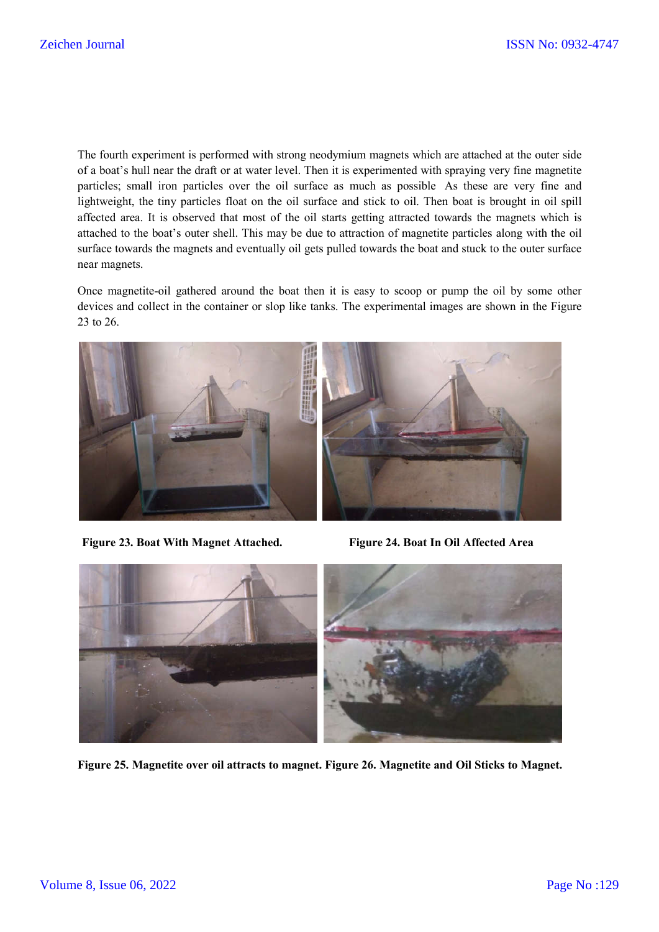The fourth experiment is performed with strong neodymium magnets which are attached at the outer side of a boat's hull near the draft or at water level. Then it is experimented with spraying very fine magnetite particles; small iron particles over the oil surface as much as possible As these are very fine and lightweight, the tiny particles float on the oil surface and stick to oil. Then boat is brought in oil spill affected area. It is observed that most of the oil starts getting attracted towards the magnets which is attached to the boat's outer shell. This may be due to attraction of magnetite particles along with the oil surface towards the magnets and eventually oil gets pulled towards the boat and stuck to the outer surface near magnets.

Once magnetite-oil gathered around the boat then it is easy to scoop or pump the oil by some other devices and collect in the container or slop like tanks. The experimental images are shown in the Figure 23 to 26.



**Figure 23. Boat With Magnet Attached. Figure 24. Boat In Oil Affected Area**



**Figure 25. Magnetite over oil attracts to magnet. Figure 26. Magnetite and Oil Sticks to Magnet.**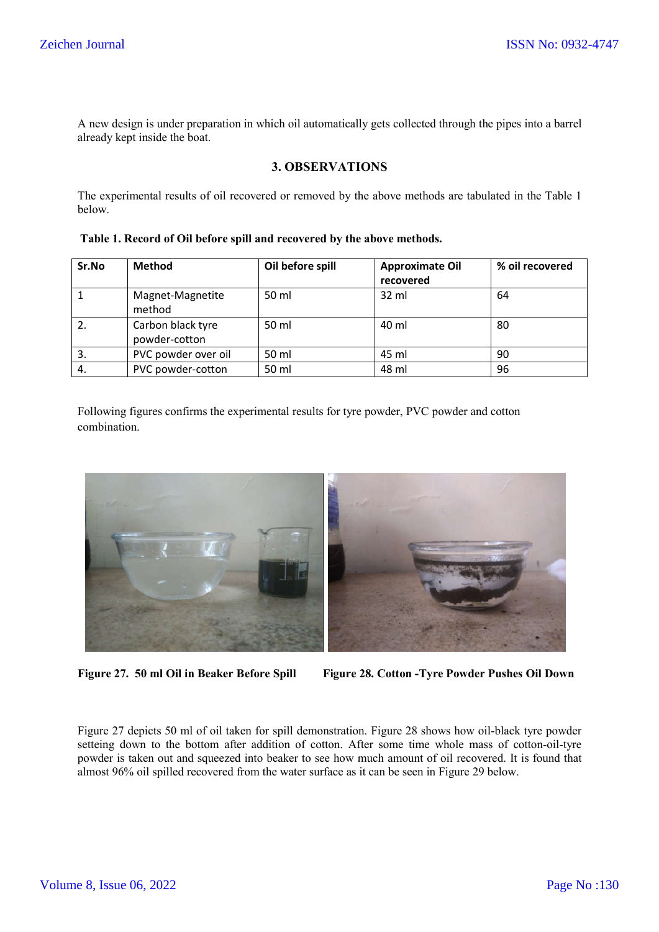A new design is under preparation in which oil automatically gets collected through the pipes into a barrel already kept inside the boat.

## **3. OBSERVATIONS**

The experimental results of oil recovered or removed by the above methods are tabulated in the Table 1 below.

**Table 1. Record of Oil before spill and recovered by the above methods.**

| Sr.No | <b>Method</b>                      | Oil before spill | <b>Approximate Oil</b><br>recovered | % oil recovered |
|-------|------------------------------------|------------------|-------------------------------------|-----------------|
|       | Magnet-Magnetite<br>method         | 50 ml            | $32 \text{ ml}$                     | 64              |
| 2.    | Carbon black tyre<br>powder-cotton | 50 ml            | 40 ml                               | 80              |
| 3.    | PVC powder over oil                | 50 ml            | 45 ml                               | 90              |
| 4.    | PVC powder-cotton                  | 50 ml            | 48 ml                               | 96              |

Following figures confirms the experimental results for tyre powder, PVC powder and cotton combination.



**Figure 27. 50 ml Oil in Beaker Before Spill Figure 28. Cotton -Tyre Powder Pushes Oil Down** 

Figure 27 depicts 50 ml of oil taken for spill demonstration. Figure 28 shows how oil-black tyre powder setteing down to the bottom after addition of cotton. After some time whole mass of cotton-oil-tyre powder is taken out and squeezed into beaker to see how much amount of oil recovered. It is found that almost 96% oil spilled recovered from the water surface as it can be seen in Figure 29 below.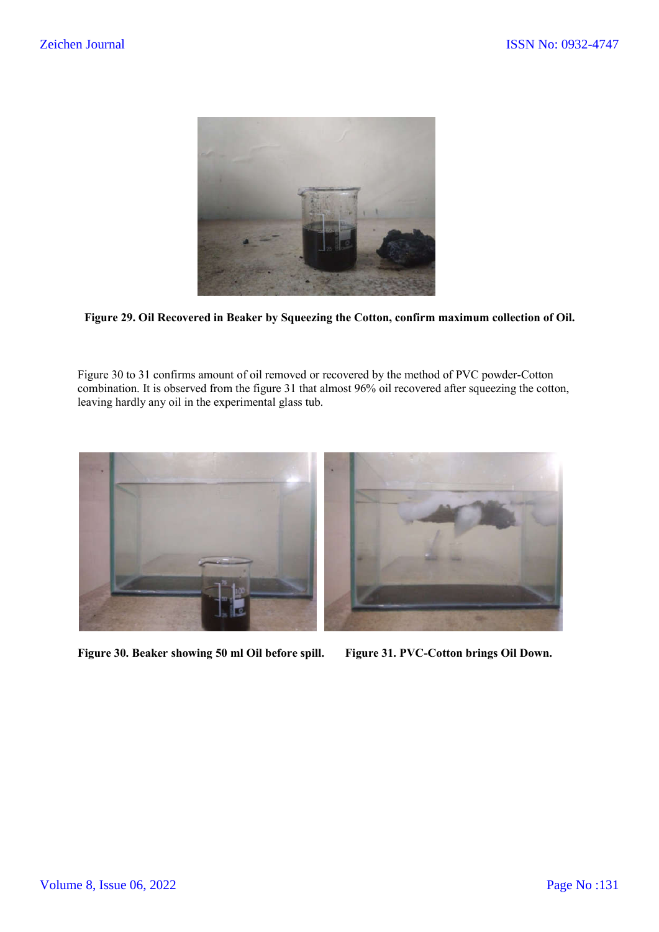

**Figure 29. Oil Recovered in Beaker by Squeezing the Cotton, confirm maximum collection of Oil.**

Figure 30 to 31 confirms amount of oil removed or recovered by the method of PVC powder-Cotton combination. It is observed from the figure 31 that almost 96% oil recovered after squeezing the cotton, leaving hardly any oil in the experimental glass tub.



**Figure 30. Beaker showing 50 ml Oil before spill. Figure 31. PVC-Cotton brings Oil Down.**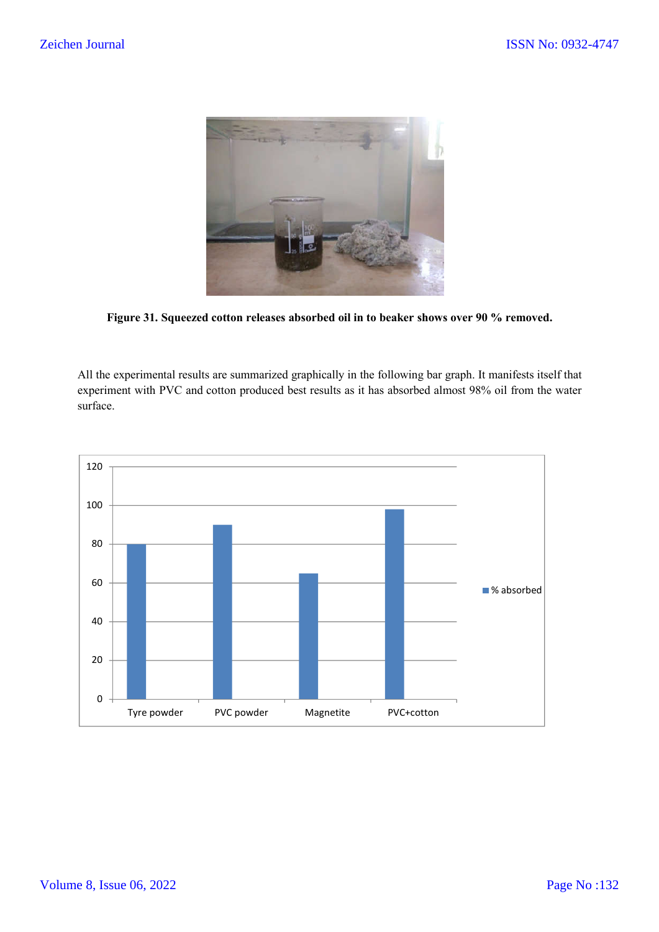

**Figure 31. Squeezed cotton releases absorbed oil in to beaker shows over 90 % removed.**

All the experimental results are summarized graphically in the following bar graph. It manifests itself that experiment with PVC and cotton produced best results as it has absorbed almost 98% oil from the water surface.

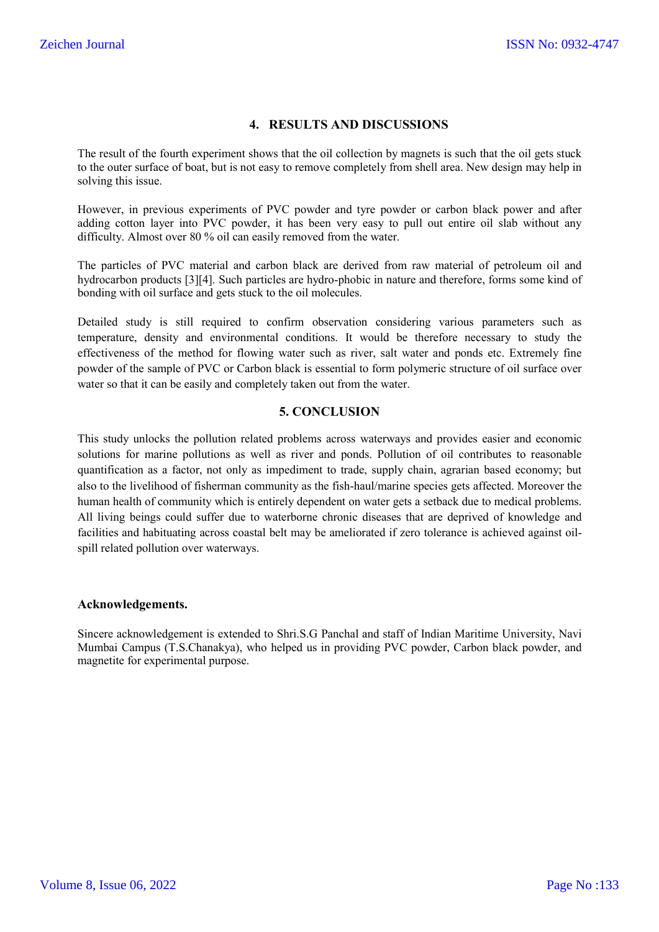## **4. RESULTS AND DISCUSSIONS**

The result of the fourth experiment shows that the oil collection by magnets is such that the oil gets stuck to the outer surface of boat, but is not easy to remove completely from shell area. New design may help in solving this issue.

However, in previous experiments of PVC powder and tyre powder or carbon black power and after adding cotton layer into PVC powder, it has been very easy to pull out entire oil slab without any difficulty. Almost over 80 % oil can easily removed from the water.

The particles of PVC material and carbon black are derived from raw material of petroleum oil and hydrocarbon products [3][4]. Such particles are hydro-phobic in nature and therefore, forms some kind of bonding with oil surface and gets stuck to the oil molecules.

Detailed study is still required to confirm observation considering various parameters such as temperature, density and environmental conditions. It would be therefore necessary to study the effectiveness of the method for flowing water such as river, salt water and ponds etc. Extremely fine powder of the sample of PVC or Carbon black is essential to form polymeric structure of oil surface over water so that it can be easily and completely taken out from the water.

## **5. CONCLUSION**

This study unlocks the pollution related problems across waterways and provides easier and economic solutions for marine pollutions as well as river and ponds. Pollution of oil contributes to reasonable quantification as a factor, not only as impediment to trade, supply chain, agrarian based economy; but also to the livelihood of fisherman community as the fish-haul/marine species gets affected. Moreover the human health of community which is entirely dependent on water gets a setback due to medical problems. All living beings could suffer due to waterborne chronic diseases that are deprived of knowledge and facilities and habituating across coastal belt may be ameliorated if zero tolerance is achieved against oilspill related pollution over waterways.

## **Acknowledgements.**

Sincere acknowledgement is extended to Shri.S.G Panchal and staff of Indian Maritime University, Navi Mumbai Campus (T.S.Chanakya), who helped us in providing PVC powder, Carbon black powder, and magnetite for experimental purpose.